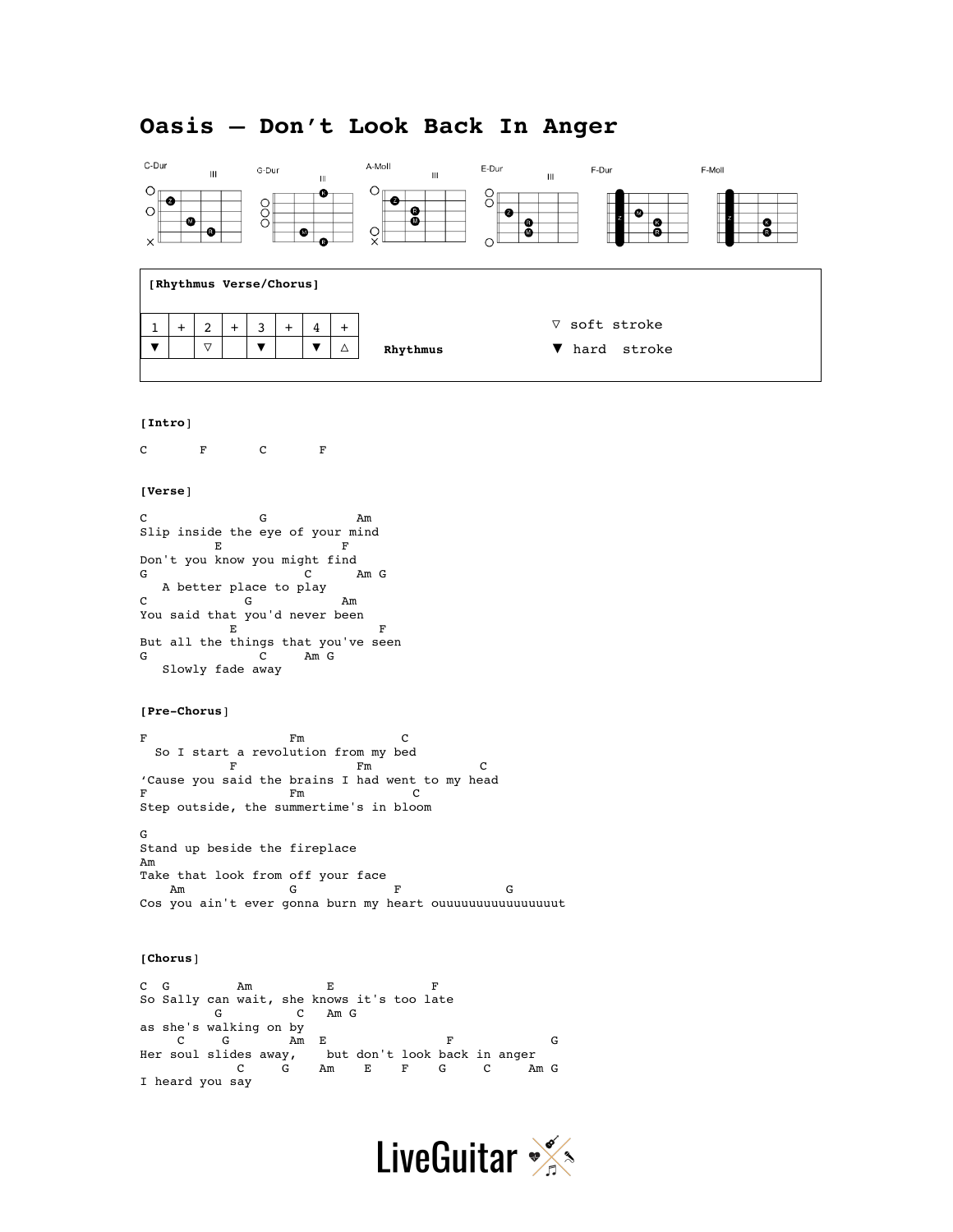# **Oasis – Don't Look Back In Anger**



#### **[Intro**]

C F C F

### **[Verse**]

C G Am Slip inside the eye of your mind E F Don't you know you might find G C Am G A better place to play C G Am You said that you'd never been E F But all the things that you've seen<br>
G C Am G G C Am G Slowly fade away

## **[Pre-Chorus**]

F Fm C So I start a revolution from my bed F Fm C 'Cause you said the brains I had went to my head F Fm C Step outside, the summertime's in bloom G

Stand up beside the fireplace Am Take that look from off your face Am G F G Cos you ain't ever gonna burn my heart ouuuuuuuuuuuuuuuut

## **[Chorus**]

C G Am E F So Sally can wait, she knows it's too late G C Am G as she's walking on by<br>C G Am E C G Am E F G Her soul slides away, but don't look back in anger C G Am E F G C Am G I heard you say